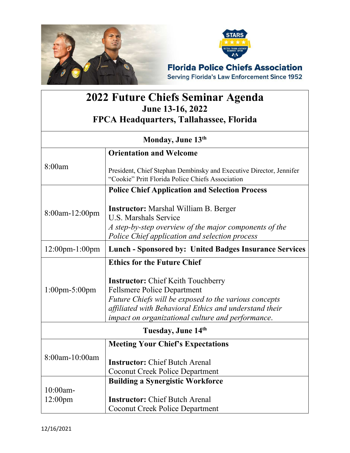

## **2022 Future Chiefs Seminar Agenda June 13-16, 2022 FPCA Headquarters, Tallahassee, Florida**

| Monday, June 13th                       |                                                                                                                                                                                                                                                                                                      |
|-----------------------------------------|------------------------------------------------------------------------------------------------------------------------------------------------------------------------------------------------------------------------------------------------------------------------------------------------------|
|                                         | <b>Orientation and Welcome</b>                                                                                                                                                                                                                                                                       |
| 8:00am                                  | President, Chief Stephan Dembinsky and Executive Director, Jennifer<br>"Cookie" Pritt Florida Police Chiefs Association                                                                                                                                                                              |
|                                         | <b>Police Chief Application and Selection Process</b>                                                                                                                                                                                                                                                |
| 8:00am-12:00pm                          | <b>Instructor:</b> Marshal William B. Berger<br><b>U.S. Marshals Service</b><br>A step-by-step overview of the major components of the<br>Police Chief application and selection process                                                                                                             |
| $12:00$ pm- $1:00$ pm                   | <b>Lunch - Sponsored by: United Badges Insurance Services</b>                                                                                                                                                                                                                                        |
| $1:00$ pm-5:00pm                        | <b>Ethics for the Future Chief</b><br><b>Instructor:</b> Chief Keith Touchberry<br><b>Fellsmere Police Department</b><br>Future Chiefs will be exposed to the various concepts<br>affiliated with Behavioral Ethics and understand their<br><i>impact on organizational culture and performance.</i> |
| Tuesday, June 14th                      |                                                                                                                                                                                                                                                                                                      |
|                                         | <b>Meeting Your Chief's Expectations</b>                                                                                                                                                                                                                                                             |
| 8:00am-10:00am                          | <b>Instructor:</b> Chief Butch Arenal<br><b>Coconut Creek Police Department</b>                                                                                                                                                                                                                      |
| <b>Building a Synergistic Workforce</b> |                                                                                                                                                                                                                                                                                                      |
| 10:00am-<br>12:00 <sub>pm</sub>         | <b>Instructor:</b> Chief Butch Arenal<br><b>Coconut Creek Police Department</b>                                                                                                                                                                                                                      |